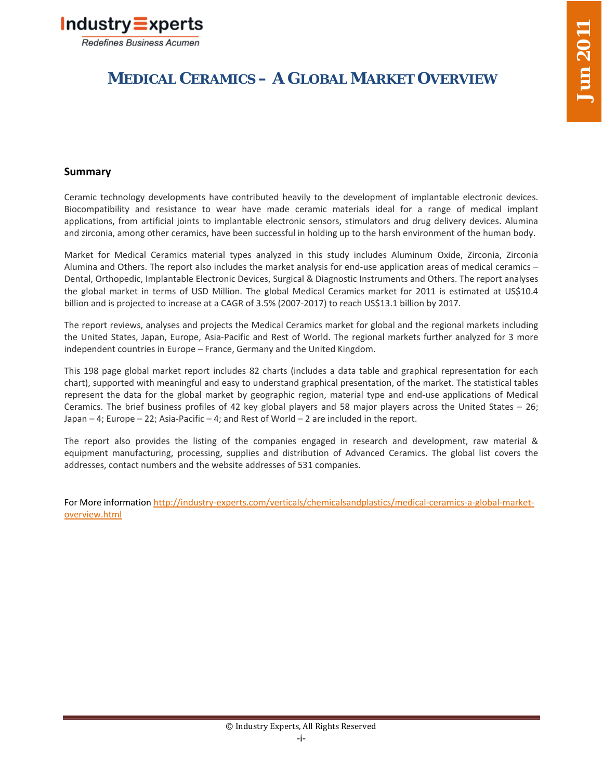

# **MEDICAL CERAMICS – A GLOBAL MARKET OVERVIEW**

# **Summary**

Ceramic technology developments have contributed heavily to the development of implantable electronic devices. Biocompatibility and resistance to wear have made ceramic materials ideal for a range of medical implant applications, from artificial joints to implantable electronic sensors, stimulators and drug delivery devices. Alumina and zirconia, among other ceramics, have been successful in holding up to the harsh environment of the human body.

Market for Medical Ceramics material types analyzed in this study includes Aluminum Oxide, Zirconia, Zirconia Alumina and Others. The report also includes the market analysis for end-use application areas of medical ceramics – Dental, Orthopedic, Implantable Electronic Devices, Surgical & Diagnostic Instruments and Others. The report analyses the global market in terms of USD Million. The global Medical Ceramics market for 2011 is estimated at US\$10.4 billion and is projected to increase at a CAGR of 3.5% (2007-2017) to reach US\$13.1 billion by 2017.

The report reviews, analyses and projects the Medical Ceramics market for global and the regional markets including the United States, Japan, Europe, Asia-Pacific and Rest of World. The regional markets further analyzed for 3 more independent countries in Europe – France, Germany and the United Kingdom.

This 198 page global market report includes 82 charts (includes a data table and graphical representation for each chart), supported with meaningful and easy to understand graphical presentation, of the market. The statistical tables represent the data for the global market by geographic region, material type and end-use applications of Medical Ceramics. The brief business profiles of 42 key global players and 58 major players across the United States – 26; Japan – 4; Europe – 22; Asia-Pacific – 4; and Rest of World – 2 are included in the report.

The report also provides the listing of the companies engaged in research and development, raw material & equipment manufacturing, processing, supplies and distribution of Advanced Ceramics. The global list covers the addresses, contact numbers and the website addresses of 531 companies.

[For More information http://industry-experts.com/verticals/chemicalsandplastics/medical-ceramics-a-global-market](http://industry-experts.com/verticals/chemicalsandplastics/medical-ceramics-a-global-market-overview.html)overview.html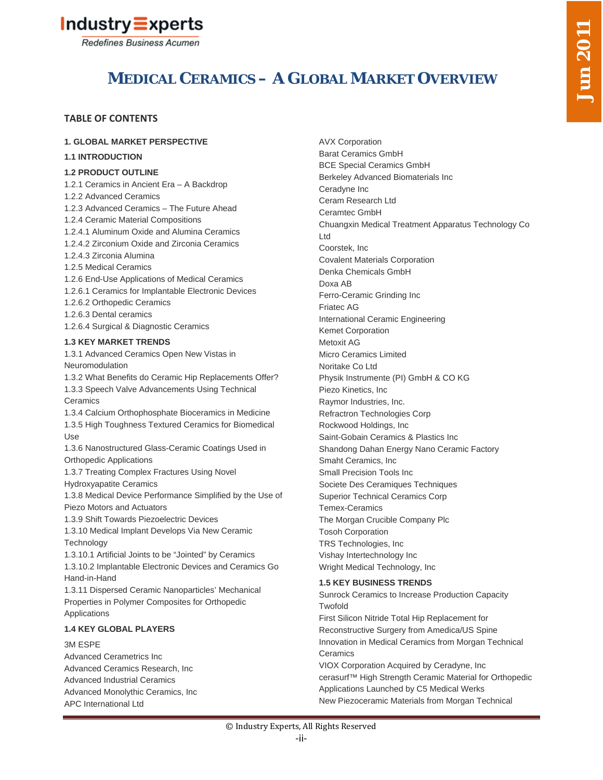



# **MEDICAL CERAMICS – A GLOBAL MARKET OVERVIEW**

# **TABLE OF CONTENTS**

#### **1. GLOBAL MARKET PERSPECTIVE**

#### **1.1 INTRODUCTION**

#### **1.2 PRODUCT OUTLINE**

1.2.1 Ceramics in Ancient Era – A Backdrop 1.2.2 Advanced Ceramics 1.2.3 Advanced Ceramics – The Future Ahead 1.2.4 Ceramic Material Compositions 1.2.4.1 Aluminum Oxide and Alumina Ceramics 1.2.4.2 Zirconium Oxide and Zirconia Ceramics 1.2.4.3 Zirconia Alumina 1.2.5 Medical Ceramics 1.2.6 End-Use Applications of Medical Ceramics 1.2.6.1 Ceramics for Implantable Electronic Devices 1.2.6.2 Orthopedic Ceramics 1.2.6.3 Dental ceramics 1.2.6.4 Surgical & Diagnostic Ceramics **1.3 KEY MARKET TRENDS** 1.3.1 Advanced Ceramics Open New Vistas in Neuromodulation 1.3.2 What Benefits do Ceramic Hip Replacements Offer? 1.3.3 Speech Valve Advancements Using Technical **Ceramics** 1.3.4 Calcium Orthophosphate Bioceramics in Medicine 1.3.5 High Toughness Textured Ceramics for Biomedical Use 1.3.6 Nanostructured Glass-Ceramic Coatings Used in Orthopedic Applications 1.3.7 Treating Complex Fractures Using Novel Hydroxyapatite Ceramics 1.3.8 Medical Device Performance Simplified by the Use of Piezo Motors and Actuators 1.3.9 Shift Towards Piezoelectric Devices 1.3.10 Medical Implant Develops Via New Ceramic **Technology** 1.3.10.1 Artificial Joints to be "Jointed" by Ceramics

1.3.10.2 Implantable Electronic Devices and Ceramics Go Hand-in-Hand

1.3.11 Dispersed Ceramic Nanoparticles' Mechanical Properties in Polymer Composites for Orthopedic Applications

### **1.4 KEY GLOBAL PLAYERS**

#### 3M ESPE

Advanced Cerametrics Inc Advanced Ceramics Research, Inc Advanced Industrial Ceramics Advanced Monolythic Ceramics, Inc APC International Ltd

AVX Corporation Barat Ceramics GmbH BCE Special Ceramics GmbH Berkeley Advanced Biomaterials Inc Ceradyne Inc Ceram Research Ltd Ceramtec GmbH Chuangxin Medical Treatment Apparatus Technology Co Ltd Coorstek, Inc Covalent Materials Corporation Denka Chemicals GmbH Doxa AB Ferro-Ceramic Grinding Inc Friatec AG International Ceramic Engineering Kemet Corporation Metoxit AG Micro Ceramics Limited Noritake Co Ltd Physik Instrumente (PI) GmbH & CO KG Piezo Kinetics, Inc Raymor Industries, Inc. Refractron Technologies Corp Rockwood Holdings, Inc Saint-Gobain Ceramics & Plastics Inc Shandong Dahan Energy Nano Ceramic Factory Smaht Ceramics, Inc Small Precision Tools Inc Societe Des Ceramiques Techniques Superior Technical Ceramics Corp Temex-Ceramics The Morgan Crucible Company Plc Tosoh Corporation TRS Technologies, Inc Vishay Intertechnology Inc Wright Medical Technology, Inc **1.5 KEY BUSINESS TRENDS**

Sunrock Ceramics to Increase Production Capacity **Twofold** First Silicon Nitride Total Hip Replacement for Reconstructive Surgery from Amedica/US Spine Innovation in Medical Ceramics from Morgan Technical **Ceramics** VIOX Corporation Acquired by Ceradyne, Inc

cerasurf™ High Strength Ceramic Material for Orthopedic Applications Launched by C5 Medical Werks New Piezoceramic Materials from Morgan Technical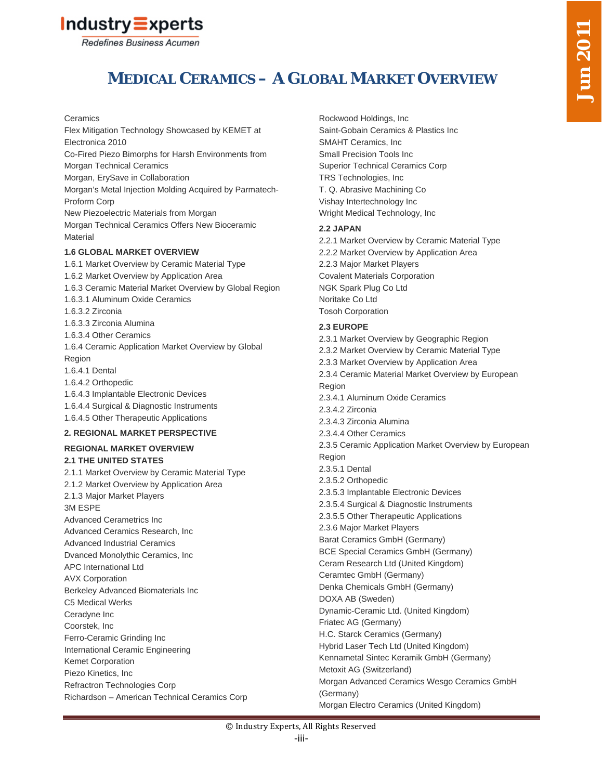

# **MEDICAL CERAMICS – A GLOBAL MARKET OVERVIEW**

#### **Ceramics**

Flex Mitigation Technology Showcased by KEMET at Electronica 2010 Co-Fired Piezo Bimorphs for Harsh Environments from Morgan Technical Ceramics Morgan, ErySave in Collaboration Morgan's Metal Injection Molding Acquired by Parmatech-Proform Corp New Piezoelectric Materials from Morgan Morgan Technical Ceramics Offers New Bioceramic **Material 1.6 GLOBAL MARKET OVERVIEW** 1.6.1 Market Overview by Ceramic Material Type

# 1.6.2 Market Overview by Application Area 1.6.3 Ceramic Material Market Overview by Global Region 1.6.3.1 Aluminum Oxide Ceramics 1.6.3.2 Zirconia 1.6.3.3 Zirconia Alumina 1.6.3.4 Other Ceramics

1.6.4 Ceramic Application Market Overview by Global Region 1.6.4.1 Dental 1.6.4.2 Orthopedic 1.6.4.3 Implantable Electronic Devices 1.6.4.4 Surgical & Diagnostic Instruments

1.6.4.5 Other Therapeutic Applications

## **2. REGIONAL MARKET PERSPECTIVE**

#### **REGIONAL MARKET OVERVIEW**

#### **2.1 THE UNITED STATES**

2.1.1 Market Overview by Ceramic Material Type 2.1.2 Market Overview by Application Area 2.1.3 Major Market Players 3M ESPE Advanced Cerametrics Inc Advanced Ceramics Research, Inc Advanced Industrial Ceramics Dvanced Monolythic Ceramics, Inc APC International Ltd AVX Corporation Berkeley Advanced Biomaterials Inc C5 Medical Werks Ceradyne Inc Coorstek, Inc Ferro-Ceramic Grinding Inc International Ceramic Engineering Kemet Corporation Piezo Kinetics, Inc Refractron Technologies Corp Richardson – American Technical Ceramics Corp

Rockwood Holdings, Inc Saint-Gobain Ceramics & Plastics Inc SMAHT Ceramics, Inc Small Precision Tools Inc Superior Technical Ceramics Corp TRS Technologies, Inc T. Q. Abrasive Machining Co Vishay Intertechnology Inc Wright Medical Technology, Inc

### **2.2 JAPAN**

2.2.1 Market Overview by Ceramic Material Type 2.2.2 Market Overview by Application Area 2.2.3 Major Market Players Covalent Materials Corporation NGK Spark Plug Co Ltd Noritake Co Ltd Tosoh Corporation

### **2.3 EUROPE**

2.3.1 Market Overview by Geographic Region 2.3.2 Market Overview by Ceramic Material Type 2.3.3 Market Overview by Application Area 2.3.4 Ceramic Material Market Overview by European Region 2.3.4.1 Aluminum Oxide Ceramics 2.3.4.2 Zirconia 2.3.4.3 Zirconia Alumina 2.3.4.4 Other Ceramics 2.3.5 Ceramic Application Market Overview by European Region 2.3.5.1 Dental 2.3.5.2 Orthopedic 2.3.5.3 Implantable Electronic Devices 2.3.5.4 Surgical & Diagnostic Instruments 2.3.5.5 Other Therapeutic Applications 2.3.6 Major Market Players Barat Ceramics GmbH (Germany) BCE Special Ceramics GmbH (Germany) Ceram Research Ltd (United Kingdom) Ceramtec GmbH (Germany) Denka Chemicals GmbH (Germany) DOXA AB (Sweden) Dynamic-Ceramic Ltd. (United Kingdom) Friatec AG (Germany) H.C. Starck Ceramics (Germany) Hybrid Laser Tech Ltd (United Kingdom) Kennametal Sintec Keramik GmbH (Germany) Metoxit AG (Switzerland) Morgan Advanced Ceramics Wesgo Ceramics GmbH (Germany)

Morgan Electro Ceramics (United Kingdom)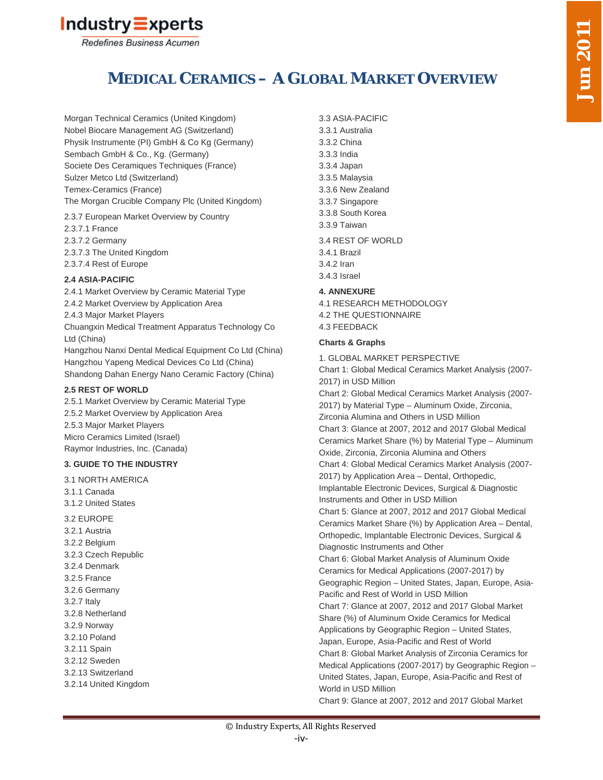

# **MEDICAL CERAMICS – A GLOBAL MARKET OVERVIEW**

Morgan Technical Ceramics (United Kingdom) Nobel Biocare Management AG (Switzerland) Physik Instrumente (PI) GmbH & Co Kg (Germany) Sembach GmbH & Co., Kg. (Germany) Societe Des Ceramiques Techniques (France) Sulzer Metco Ltd (Switzerland) Temex-Ceramics (France) The Morgan Crucible Company Plc (United Kingdom)

2.3.7 European Market Overview by Country 2.3.7.1 France 2.3.7.2 Germany 2.3.7.3 The United Kingdom 2.3.7.4 Rest of Europe

## **2.4 ASIA-PACIFIC**

2.4.1 Market Overview by Ceramic Material Type 2.4.2 Market Overview by Application Area 2.4.3 Major Market Players Chuangxin Medical Treatment Apparatus Technology Co Ltd (China) Hangzhou Nanxi Dental Medical Equipment Co Ltd (China)

Hangzhou Yapeng Medical Devices Co Ltd (China) Shandong Dahan Energy Nano Ceramic Factory (China)

### **2.5 REST OF WORLD**

2.5.1 Market Overview by Ceramic Material Type 2.5.2 Market Overview by Application Area 2.5.3 Major Market Players Micro Ceramics Limited (Israel) Raymor Industries, Inc. (Canada)

## **3. GUIDE TO THE INDUSTRY**

3.1 NORTH AMERICA 3.1.1 Canada 3.1.2 United States 3.2 EUROPE 3.2.1 Austria 3.2.2 Belgium 3.2.3 Czech Republic 3.2.4 Denmark 3.2.5 France 3.2.6 Germany 3.2.7 Italy 3.2.8 Netherland 3.2.9 Norway 3.2.10 Poland 3.2.11 Spain 3.2.12 Sweden 3.2.13 Switzerland 3.2.14 United Kingdom

3.3 ASIA-PACIFIC 3.3.1 Australia 3.3.2 China 3.3.3 India 3.3.4 Japan 3.3.5 Malaysia 3.3.6 New Zealand 3.3.7 Singapore 3.3.8 South Korea 3.3.9 Taiwan 3.4 REST OF WORLD 3.4.1 Brazil 3.4.2 Iran 3.4.3 Israel **4. ANNEXURE** 4.1 RESEARCH METHODOLOGY 4.2 THE QUESTIONNAIRE 4.3 FEEDBACK **Charts & Graphs** 1. GLOBAL MARKET PERSPECTIVE Chart 1: Global Medical Ceramics Market Analysis (2007- 2017) in USD Million

Chart 2: Global Medical Ceramics Market Analysis (2007- 2017) by Material Type – Aluminum Oxide, Zirconia, Zirconia Alumina and Others in USD Million Chart 3: Glance at 2007, 2012 and 2017 Global Medical Ceramics Market Share (%) by Material Type – Aluminum Oxide, Zirconia, Zirconia Alumina and Others Chart 4: Global Medical Ceramics Market Analysis (2007- 2017) by Application Area – Dental, Orthopedic, Implantable Electronic Devices, Surgical & Diagnostic Instruments and Other in USD Million Chart 5: Glance at 2007, 2012 and 2017 Global Medical Ceramics Market Share (%) by Application Area – Dental, Orthopedic, Implantable Electronic Devices, Surgical & Diagnostic Instruments and Other Chart 6: Global Market Analysis of Aluminum Oxide Ceramics for Medical Applications (2007-2017) by Geographic Region – United States, Japan, Europe, Asia-Pacific and Rest of World in USD Million Chart 7: Glance at 2007, 2012 and 2017 Global Market Share (%) of Aluminum Oxide Ceramics for Medical Applications by Geographic Region – United States, Japan, Europe, Asia-Pacific and Rest of World Chart 8: Global Market Analysis of Zirconia Ceramics for Medical Applications (2007-2017) by Geographic Region – United States, Japan, Europe, Asia-Pacific and Rest of World in USD Million

Chart 9: Glance at 2007, 2012 and 2017 Global Market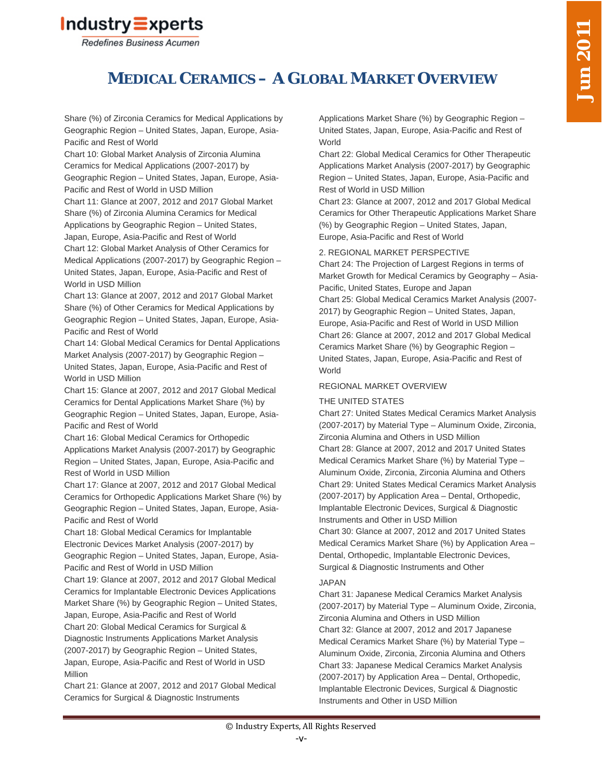

# **MEDICAL CERAMICS – A GLOBAL MARKET OVERVIEW**

Share (%) of Zirconia Ceramics for Medical Applications by Geographic Region – United States, Japan, Europe, Asia-Pacific and Rest of World

Chart 10: Global Market Analysis of Zirconia Alumina Ceramics for Medical Applications (2007-2017) by Geographic Region – United States, Japan, Europe, Asia-Pacific and Rest of World in USD Million

Chart 11: Glance at 2007, 2012 and 2017 Global Market Share (%) of Zirconia Alumina Ceramics for Medical Applications by Geographic Region – United States, Japan, Europe, Asia-Pacific and Rest of World

Chart 12: Global Market Analysis of Other Ceramics for Medical Applications (2007-2017) by Geographic Region – United States, Japan, Europe, Asia-Pacific and Rest of World in USD Million

Chart 13: Glance at 2007, 2012 and 2017 Global Market Share (%) of Other Ceramics for Medical Applications by Geographic Region – United States, Japan, Europe, Asia-Pacific and Rest of World

Chart 14: Global Medical Ceramics for Dental Applications Market Analysis (2007-2017) by Geographic Region – United States, Japan, Europe, Asia-Pacific and Rest of World in USD Million

Chart 15: Glance at 2007, 2012 and 2017 Global Medical Ceramics for Dental Applications Market Share (%) by Geographic Region – United States, Japan, Europe, Asia-Pacific and Rest of World

Chart 16: Global Medical Ceramics for Orthopedic Applications Market Analysis (2007-2017) by Geographic Region – United States, Japan, Europe, Asia-Pacific and Rest of World in USD Million

Chart 17: Glance at 2007, 2012 and 2017 Global Medical Ceramics for Orthopedic Applications Market Share (%) by Geographic Region – United States, Japan, Europe, Asia-Pacific and Rest of World

Chart 18: Global Medical Ceramics for Implantable Electronic Devices Market Analysis (2007-2017) by Geographic Region – United States, Japan, Europe, Asia-Pacific and Rest of World in USD Million

Chart 19: Glance at 2007, 2012 and 2017 Global Medical Ceramics for Implantable Electronic Devices Applications Market Share (%) by Geographic Region – United States, Japan, Europe, Asia-Pacific and Rest of World

Chart 20: Global Medical Ceramics for Surgical & Diagnostic Instruments Applications Market Analysis (2007-2017) by Geographic Region – United States, Japan, Europe, Asia-Pacific and Rest of World in USD Million

Chart 21: Glance at 2007, 2012 and 2017 Global Medical Ceramics for Surgical & Diagnostic Instruments

Applications Market Share (%) by Geographic Region – United States, Japan, Europe, Asia-Pacific and Rest of World

Chart 22: Global Medical Ceramics for Other Therapeutic Applications Market Analysis (2007-2017) by Geographic Region – United States, Japan, Europe, Asia-Pacific and Rest of World in USD Million

Chart 23: Glance at 2007, 2012 and 2017 Global Medical Ceramics for Other Therapeutic Applications Market Share (%) by Geographic Region – United States, Japan, Europe, Asia-Pacific and Rest of World

# 2. REGIONAL MARKET PERSPECTIVE

Chart 24: The Projection of Largest Regions in terms of Market Growth for Medical Ceramics by Geography – Asia-Pacific, United States, Europe and Japan Chart 25: Global Medical Ceramics Market Analysis (2007- 2017) by Geographic Region – United States, Japan, Europe, Asia-Pacific and Rest of World in USD Million Chart 26: Glance at 2007, 2012 and 2017 Global Medical Ceramics Market Share (%) by Geographic Region – United States, Japan, Europe, Asia-Pacific and Rest of World

## REGIONAL MARKET OVERVIEW

## THE UNITED STATES

Chart 27: United States Medical Ceramics Market Analysis (2007-2017) by Material Type – Aluminum Oxide, Zirconia, Zirconia Alumina and Others in USD Million Chart 28: Glance at 2007, 2012 and 2017 United States Medical Ceramics Market Share (%) by Material Type – Aluminum Oxide, Zirconia, Zirconia Alumina and Others Chart 29: United States Medical Ceramics Market Analysis (2007-2017) by Application Area – Dental, Orthopedic, Implantable Electronic Devices, Surgical & Diagnostic Instruments and Other in USD Million Chart 30: Glance at 2007, 2012 and 2017 United States Medical Ceramics Market Share (%) by Application Area – Dental, Orthopedic, Implantable Electronic Devices, Surgical & Diagnostic Instruments and Other

## JAPAN

Chart 31: Japanese Medical Ceramics Market Analysis (2007-2017) by Material Type – Aluminum Oxide, Zirconia, Zirconia Alumina and Others in USD Million Chart 32: Glance at 2007, 2012 and 2017 Japanese Medical Ceramics Market Share (%) by Material Type – Aluminum Oxide, Zirconia, Zirconia Alumina and Others Chart 33: Japanese Medical Ceramics Market Analysis (2007-2017) by Application Area – Dental, Orthopedic, Implantable Electronic Devices, Surgical & Diagnostic Instruments and Other in USD Million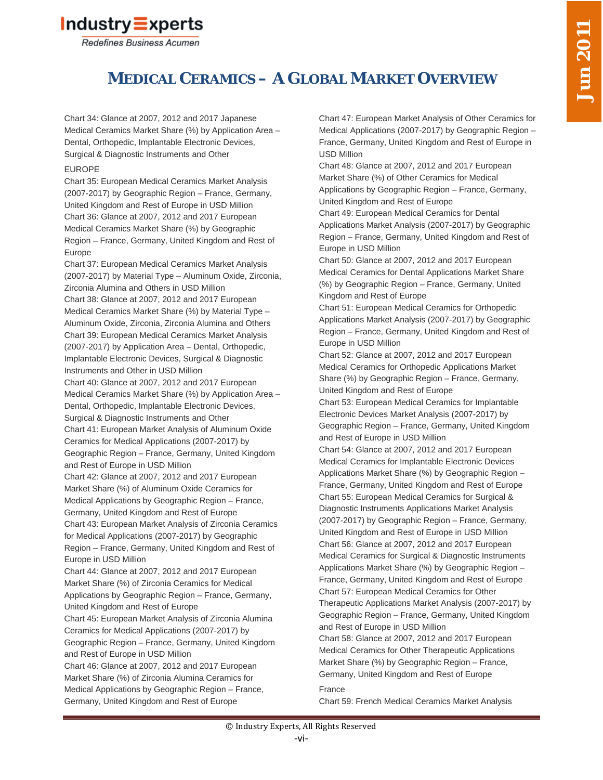

# **MEDICAL CERAMICS – A GLOBAL MARKET OVERVIEW**

Chart 34: Glance at 2007, 2012 and 2017 Japanese Medical Ceramics Market Share (%) by Application Area – Dental, Orthopedic, Implantable Electronic Devices, Surgical & Diagnostic Instruments and Other

## EUROPE

Chart 35: European Medical Ceramics Market Analysis (2007-2017) by Geographic Region – France, Germany, United Kingdom and Rest of Europe in USD Million Chart 36: Glance at 2007, 2012 and 2017 European Medical Ceramics Market Share (%) by Geographic Region – France, Germany, United Kingdom and Rest of Europe

Chart 37: European Medical Ceramics Market Analysis (2007-2017) by Material Type – Aluminum Oxide, Zirconia, Zirconia Alumina and Others in USD Million Chart 38: Glance at 2007, 2012 and 2017 European Medical Ceramics Market Share (%) by Material Type – Aluminum Oxide, Zirconia, Zirconia Alumina and Others Chart 39: European Medical Ceramics Market Analysis (2007-2017) by Application Area – Dental, Orthopedic, Implantable Electronic Devices, Surgical & Diagnostic Instruments and Other in USD Million Chart 40: Glance at 2007, 2012 and 2017 European Medical Ceramics Market Share (%) by Application Area – Dental, Orthopedic, Implantable Electronic Devices, Surgical & Diagnostic Instruments and Other Chart 41: European Market Analysis of Aluminum Oxide Ceramics for Medical Applications (2007-2017) by Geographic Region – France, Germany, United Kingdom and Rest of Europe in USD Million Chart 42: Glance at 2007, 2012 and 2017 European Market Share (%) of Aluminum Oxide Ceramics for

Medical Applications by Geographic Region – France, Germany, United Kingdom and Rest of Europe Chart 43: European Market Analysis of Zirconia Ceramics for Medical Applications (2007-2017) by Geographic Region – France, Germany, United Kingdom and Rest of Europe in USD Million

Chart 44: Glance at 2007, 2012 and 2017 European Market Share (%) of Zirconia Ceramics for Medical Applications by Geographic Region – France, Germany, United Kingdom and Rest of Europe

Chart 45: European Market Analysis of Zirconia Alumina Ceramics for Medical Applications (2007-2017) by Geographic Region – France, Germany, United Kingdom and Rest of Europe in USD Million

Chart 46: Glance at 2007, 2012 and 2017 European Market Share (%) of Zirconia Alumina Ceramics for Medical Applications by Geographic Region – France, Germany, United Kingdom and Rest of Europe

Chart 47: European Market Analysis of Other Ceramics for Medical Applications (2007-2017) by Geographic Region – France, Germany, United Kingdom and Rest of Europe in USD Million

Chart 48: Glance at 2007, 2012 and 2017 European Market Share (%) of Other Ceramics for Medical Applications by Geographic Region – France, Germany, United Kingdom and Rest of Europe

Chart 49: European Medical Ceramics for Dental Applications Market Analysis (2007-2017) by Geographic Region – France, Germany, United Kingdom and Rest of Europe in USD Million

Chart 50: Glance at 2007, 2012 and 2017 European Medical Ceramics for Dental Applications Market Share (%) by Geographic Region – France, Germany, United Kingdom and Rest of Europe

Chart 51: European Medical Ceramics for Orthopedic Applications Market Analysis (2007-2017) by Geographic Region – France, Germany, United Kingdom and Rest of Europe in USD Million

Chart 52: Glance at 2007, 2012 and 2017 European Medical Ceramics for Orthopedic Applications Market Share (%) by Geographic Region – France, Germany, United Kingdom and Rest of Europe

Chart 53: European Medical Ceramics for Implantable Electronic Devices Market Analysis (2007-2017) by Geographic Region – France, Germany, United Kingdom and Rest of Europe in USD Million

Chart 54: Glance at 2007, 2012 and 2017 European Medical Ceramics for Implantable Electronic Devices Applications Market Share (%) by Geographic Region – France, Germany, United Kingdom and Rest of Europe Chart 55: European Medical Ceramics for Surgical & Diagnostic Instruments Applications Market Analysis (2007-2017) by Geographic Region – France, Germany, United Kingdom and Rest of Europe in USD Million Chart 56: Glance at 2007, 2012 and 2017 European Medical Ceramics for Surgical & Diagnostic Instruments Applications Market Share (%) by Geographic Region – France, Germany, United Kingdom and Rest of Europe Chart 57: European Medical Ceramics for Other Therapeutic Applications Market Analysis (2007-2017) by Geographic Region – France, Germany, United Kingdom and Rest of Europe in USD Million

Chart 58: Glance at 2007, 2012 and 2017 European Medical Ceramics for Other Therapeutic Applications Market Share (%) by Geographic Region – France, Germany, United Kingdom and Rest of Europe

## France

Chart 59: French Medical Ceramics Market Analysis